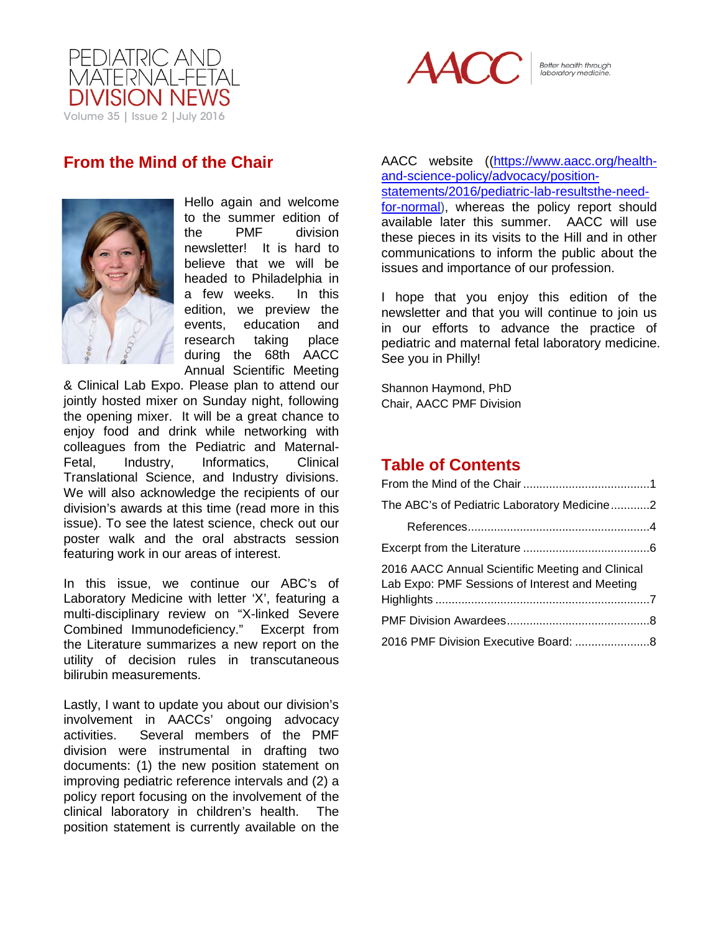



Better health through<br>laboratory medicine.

# <span id="page-0-0"></span>**From the Mind of the Chair**



Hello again and welcome to the summer edition of<br>the PMF division the PMF division newsletter! It is hard to believe that we will be headed to Philadelphia in a few weeks. In this edition, we preview the events, education and research taking place during the 68th AACC Annual Scientific Meeting

& Clinical Lab Expo. Please plan to attend our jointly hosted mixer on Sunday night, following the opening mixer. It will be a great chance to enjoy food and drink while networking with colleagues from the Pediatric and Maternal-Fetal, Industry, Informatics, Clinical Translational Science, and Industry divisions. We will also acknowledge the recipients of our division's awards at this time (read more in this issue). To see the latest science, check out our poster walk and the oral abstracts session featuring work in our areas of interest.

In this issue, we continue our ABC's of Laboratory Medicine with letter 'X', featuring a multi-disciplinary review on "X-linked Severe Combined Immunodeficiency." Excerpt from the Literature summarizes a new report on the utility of decision rules in transcutaneous bilirubin measurements.

Lastly, I want to update you about our division's involvement in AACCs' ongoing advocacy activities. Several members of the PMF division were instrumental in drafting two documents: (1) the new position statement on improving pediatric reference intervals and (2) a policy report focusing on the involvement of the clinical laboratory in children's health. The position statement is currently available on the

AACC website ([\(https://www.aacc.org/health](https://www.aacc.org/health-and-science-policy/advocacy/position-statements/2016/pediatric-lab-resultsthe-need-for-normal)[and-science-policy/advocacy/position](https://www.aacc.org/health-and-science-policy/advocacy/position-statements/2016/pediatric-lab-resultsthe-need-for-normal)[statements/2016/pediatric-lab-resultsthe-need-](https://www.aacc.org/health-and-science-policy/advocacy/position-statements/2016/pediatric-lab-resultsthe-need-for-normal)

[for-normal\)](https://www.aacc.org/health-and-science-policy/advocacy/position-statements/2016/pediatric-lab-resultsthe-need-for-normal), whereas the policy report should available later this summer. AACC will use these pieces in its visits to the Hill and in other communications to inform the public about the issues and importance of our profession.

I hope that you enjoy this edition of the newsletter and that you will continue to join us in our efforts to advance the practice of pediatric and maternal fetal laboratory medicine. See you in Philly!

Shannon Haymond, PhD Chair, AACC PMF Division

## **Table of Contents**

| The ABC's of Pediatric Laboratory Medicine2                                                        |  |
|----------------------------------------------------------------------------------------------------|--|
|                                                                                                    |  |
|                                                                                                    |  |
| 2016 AACC Annual Scientific Meeting and Clinical<br>Lab Expo: PMF Sessions of Interest and Meeting |  |
|                                                                                                    |  |
| 2016 PMF Division Executive Board: 8                                                               |  |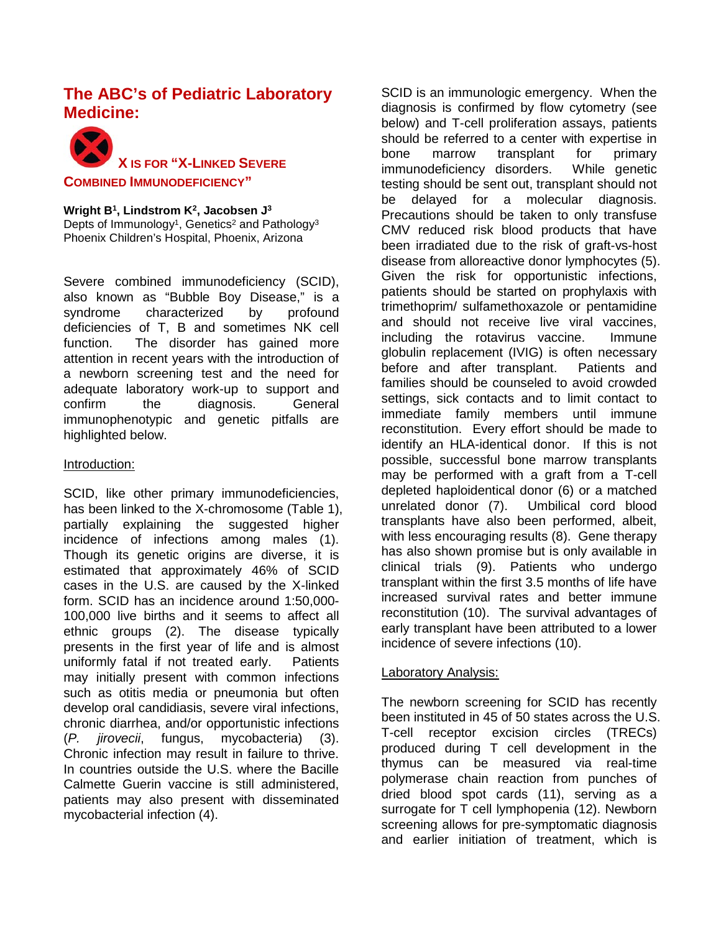## <span id="page-1-0"></span>**The ABC's of Pediatric Laboratory Medicine:**



**Wright B1, Lindstrom K2, Jacobsen J3** Depts of Immunology<sup>1</sup>, Genetics<sup>2</sup> and Pathology<sup>3</sup> Phoenix Children's Hospital, Phoenix, Arizona

Severe combined immunodeficiency (SCID), also known as "Bubble Boy Disease," is a syndrome characterized by profound deficiencies of T, B and sometimes NK cell function. The disorder has gained more attention in recent years with the introduction of a newborn screening test and the need for adequate laboratory work-up to support and confirm the diagnosis. General immunophenotypic and genetic pitfalls are highlighted below.

### Introduction:

SCID, like other primary immunodeficiencies. has been linked to the X-chromosome (Table 1), partially explaining the suggested higher incidence of infections among males (1). Though its genetic origins are diverse, it is estimated that approximately 46% of SCID cases in the U.S. are caused by the X-linked form. SCID has an incidence around 1:50,000- 100,000 live births and it seems to affect all ethnic groups (2). The disease typically presents in the first year of life and is almost uniformly fatal if not treated early. Patients may initially present with common infections such as otitis media or pneumonia but often develop oral candidiasis, severe viral infections, chronic diarrhea, and/or opportunistic infections (*P. jirovecii*, fungus, mycobacteria) (3). Chronic infection may result in failure to thrive. In countries outside the U.S. where the Bacille Calmette Guerin vaccine is still administered, patients may also present with disseminated mycobacterial infection (4).

SCID is an immunologic emergency. When the diagnosis is confirmed by flow cytometry (see below) and T-cell proliferation assays, patients should be referred to a center with expertise in bone marrow transplant for primary immunodeficiency disorders. While genetic testing should be sent out, transplant should not be delayed for a molecular diagnosis. Precautions should be taken to only transfuse CMV reduced risk blood products that have been irradiated due to the risk of graft-vs-host disease from alloreactive donor lymphocytes (5). Given the risk for opportunistic infections, patients should be started on prophylaxis with trimethoprim/ sulfamethoxazole or pentamidine and should not receive live viral vaccines, including the rotavirus vaccine. Immune globulin replacement (IVIG) is often necessary before and after transplant. Patients and families should be counseled to avoid crowded settings, sick contacts and to limit contact to immediate family members until immune reconstitution. Every effort should be made to identify an HLA-identical donor. If this is not possible, successful bone marrow transplants may be performed with a graft from a T-cell depleted haploidentical donor (6) or a matched unrelated donor (7). Umbilical cord blood transplants have also been performed, albeit, with less encouraging results (8). Gene therapy has also shown promise but is only available in clinical trials (9). Patients who undergo transplant within the first 3.5 months of life have increased survival rates and better immune reconstitution (10). The survival advantages of early transplant have been attributed to a lower incidence of severe infections (10).

#### Laboratory Analysis:

The newborn screening for SCID has recently been instituted in 45 of 50 states across the U.S. T-cell receptor excision circles (TRECs) produced during T cell development in the thymus can be measured via real-time polymerase chain reaction from punches of dried blood spot cards (11), serving as a surrogate for T cell lymphopenia [\(12\)](#page-3-1). Newborn screening allows for pre-symptomatic diagnosis and earlier initiation of treatment, which is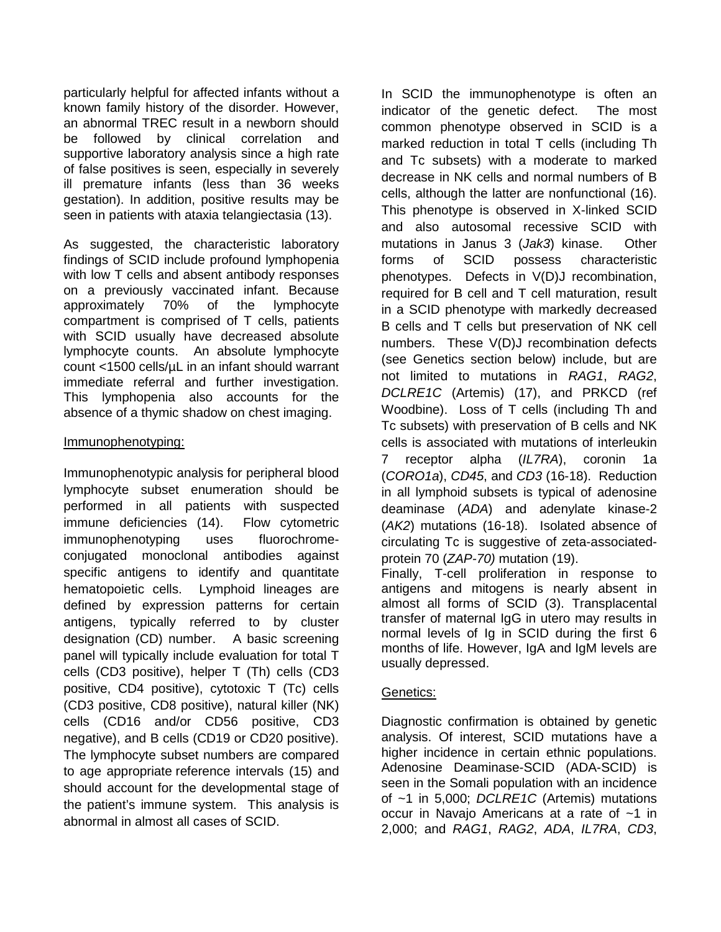particularly helpful for affected infants without a known family history of the disorder. However, an abnormal TREC result in a newborn should be followed by clinical correlation and supportive laboratory analysis since a high rate of false positives is seen, especially in severely ill premature infants (less than 36 weeks gestation). In addition, positive results may be seen in patients with ataxia telangiectasia (13).

As suggested, the characteristic laboratory findings of SCID include profound lymphopenia with low T cells and absent antibody responses on a previously vaccinated infant. Because approximately 70% of the lymphocyte compartment is comprised of T cells, patients with SCID usually have decreased absolute lymphocyte counts. An absolute lymphocyte count <1500 cells/µL in an infant should warrant immediate referral and further investigation. This lymphopenia also accounts for the absence of a thymic shadow on chest imaging.

### Immunophenotyping:

Immunophenotypic analysis for peripheral blood lymphocyte subset enumeration should be performed in all patients with suspected immune deficiencies (14). Flow cytometric immunophenotyping uses fluorochromeconjugated monoclonal antibodies against specific antigens to identify and quantitate hematopoietic cells. Lymphoid lineages are defined by expression patterns for certain antigens, typically referred to by cluster designation (CD) number. A basic screening panel will typically include evaluation for total T cells (CD3 positive), helper T (Th) cells (CD3 positive, CD4 positive), cytotoxic T (Tc) cells (CD3 positive, CD8 positive), natural killer (NK) cells (CD16 and/or CD56 positive, CD3 negative), and B cells (CD19 or CD20 positive). The lymphocyte subset numbers are compared to age appropriate reference intervals (15) and should account for the developmental stage of the patient's immune system. This analysis is abnormal in almost all cases of SCID.

In SCID the immunophenotype is often an indicator of the genetic defect. The most common phenotype observed in SCID is a marked reduction in total T cells (including Th and Tc subsets) with a moderate to marked decrease in NK cells and normal numbers of B cells, although the latter are nonfunctional (16). This phenotype is observed in X-linked SCID and also autosomal recessive SCID with mutations in Janus 3 (*Jak3*) kinase. Other forms of SCID possess characteristic phenotypes. Defects in V(D)J recombination, required for B cell and T cell maturation, result in a SCID phenotype with markedly decreased B cells and T cells but preservation of NK cell numbers. These V(D)J recombination defects (see Genetics section below) include, but are not limited to mutations in *RAG1*, *RAG2*, *DCLRE1C* (Artemis) (17), and PRKCD (ref Woodbine). Loss of T cells (including Th and Tc subsets) with preservation of B cells and NK cells is associated with mutations of interleukin 7 receptor alpha (*IL7RA*), coronin 1a (*CORO1a*), *CD45*, and *CD3* (16-18). Reduction in all lymphoid subsets is typical of adenosine deaminase (*ADA*) and adenylate kinase-2 (*AK2*) mutations (16-18). Isolated absence of circulating Tc is suggestive of zeta-associatedprotein 70 (*ZAP-70)* mutation (19).

Finally, T-cell proliferation in response to antigens and mitogens is nearly absent in almost all forms of SCID (3). Transplacental transfer of maternal IgG in utero may results in normal levels of Ig in SCID during the first 6 months of life. However, IgA and IgM levels are usually depressed.

### Genetics:

Diagnostic confirmation is obtained by genetic analysis. Of interest, SCID mutations have a higher incidence in certain ethnic populations. Adenosine Deaminase-SCID (ADA-SCID) is seen in the Somali population with an incidence of ~1 in 5,000; *DCLRE1C* (Artemis) mutations occur in Navajo Americans at a rate of ~1 in 2,000; and *RAG1*, *RAG2*, *ADA*, *IL7RA*, *CD3*,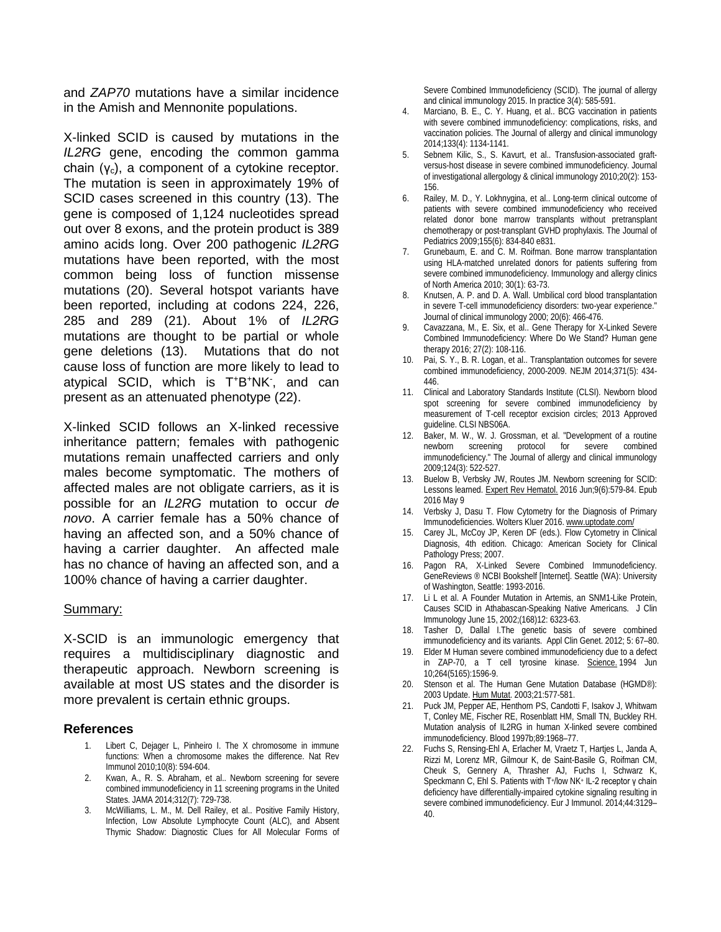and *ZAP70* mutations have a similar incidence in the Amish and Mennonite populations.

X-linked SCID is caused by mutations in the *IL2RG* gene, encoding the common gamma chain  $(y_c)$ , a component of a cytokine receptor. The mutation is seen in approximately 19% of SCID cases screened in this country (13). The gene is composed of 1,124 nucleotides spread out over 8 exons, and the protein product is 389 amino acids long. Over 200 pathogenic *IL2RG* mutations have been reported, with the most common being loss of function missense mutations (20). Several hotspot variants have been reported, including at codons 224, 226, 285 and 289 (21). About 1% of *IL2RG* mutations are thought to be partial or whole gene deletions (13). Mutations that do not cause loss of function are more likely to lead to atypical SCID, which is T+B+NK- , and can present as an attenuated phenotype (22).

X-linked SCID follows an X-linked recessive inheritance pattern; females with pathogenic mutations remain unaffected carriers and only males become symptomatic. The mothers of affected males are not obligate carriers, as it is possible for an *IL2RG* mutation to occur *de novo*. A carrier female has a 50% chance of having an affected son, and a 50% chance of having a carrier daughter. An affected male has no chance of having an affected son, and a 100% chance of having a carrier daughter.

#### Summary:

X-SCID is an immunologic emergency that requires a multidisciplinary diagnostic and therapeutic approach. Newborn screening is available at most US states and the disorder is more prevalent is certain ethnic groups.

#### <span id="page-3-0"></span>**References**

- <span id="page-3-1"></span>1. Libert C, Dejager L, Pinheiro I. The X chromosome in immune functions: When a chromosome makes the difference. Nat Rev Immunol 2010;10(8): 594-604.
- 2. Kwan, A., R. S. Abraham, et al.. Newborn screening for severe combined immunodeficiency in 11 screening programs in the United States. JAMA 2014;312(7): 729-738.
- 3. McWilliams, L. M., M. Dell Railey, et al.. Positive Family History, Infection, Low Absolute Lymphocyte Count (ALC), and Absent Thymic Shadow: Diagnostic Clues for All Molecular Forms of

Severe Combined Immunodeficiency (SCID). The journal of allergy and clinical immunology 2015. In practice 3(4): 585-591.

- 4. Marciano, B. E., C. Y. Huang, et al.. BCG vaccination in patients with severe combined immunodeficiency: complications, risks, and vaccination policies. The Journal of allergy and clinical immunology 2014;133(4): 1134-1141.
- 5. Sebnem Kilic, S., S. Kavurt, et al.. Transfusion-associated graftversus-host disease in severe combined immunodeficiency. Journal of investigational allergology & clinical immunology 2010;20(2): 153- 156.
- 6. Railey, M. D., Y. Lokhnygina, et al.. Long-term clinical outcome of patients with severe combined immunodeficiency who received related donor bone marrow transplants without pretransplant chemotherapy or post-transplant GVHD prophylaxis. The Journal of Pediatrics 2009;155(6): 834-840 e831.
- 7. Grunebaum, E. and C. M. Roifman. Bone marrow transplantation using HLA-matched unrelated donors for patients suffering from severe combined immunodeficiency. Immunology and allergy clinics of North America 2010; 30(1): 63-73.
- 8. Knutsen, A. P. and D. A. Wall. Umbilical cord blood transplantation in severe T-cell immunodeficiency disorders: two-year experience." Journal of clinical immunology 2000; 20(6): 466-476.
- 9. Cavazzana, M., E. Six, et al.. Gene Therapy for X-Linked Severe Combined Immunodeficiency: Where Do We Stand? Human gene therapy 2016; 27(2): 108-116.
- 10. Pai, S. Y., B. R. Logan, et al.. Transplantation outcomes for severe combined immunodeficiency, 2000-2009. NEJM 2014;371(5): 434- 446.
- 11. Clinical and Laboratory Standards Institute (CLSI). Newborn blood spot screening for severe combined immunodeficiency by measurement of T-cell receptor excision circles; 2013 Approved guideline. CLSI NBS06A.
- 12. Baker, M. W., W. J. Grossman, et al. "Development of a routine newborn screening protocol for severe combined immunodeficiency." The Journal of allergy and clinical immunology 2009;124(3): 522-527.
- 13. Buelow B, Verbsky JW, Routes JM. Newborn screening for SCID: Lessons learned[. Expert Rev Hematol.](http://www.ncbi.nlm.nih.gov/pubmed/27139719) 2016 Jun;9(6):579-84. Epub 2016 May 9
- 14. Verbsky J, Dasu T. Flow Cytometry for the Diagnosis of Primary Immunodeficiencies. Wolters Kluer 2016[. www.uptodate.com/](http://www.uptodate.com/)
- 15. Carey JL, McCoy JP, Keren DF (eds.). Flow Cytometry in Clinical Diagnosis, 4th edition. Chicago: American Society for Clinical Pathology Press; 2007.
- 16. Pagon RA, X-Linked Severe Combined Immunodeficiency. GeneReviews ® NCBI Bookshelf [Internet]. Seattle (WA): University of Washington, Seattle: 1993-2016.
- 17. Li L et al. A Founder Mutation in Artemis, an SNM1-Like Protein, Causes SCID in Athabascan-Speaking Native Americans. J Clin Immunology June 15, 2002;(168)12: 6323-63.
- 18. Tasher D, Dallal I.The genetic basis of severe combined immunodeficiency and its variants. Appl Clin Genet. 2012; 5: 67–80.
- 19. Elder M Human severe combined immunodeficiency due to a defect in ZAP-70, a T cell tyrosine kinase. [Science.](http://www.ncbi.nlm.nih.gov/pubmed/8202712) 1994 Jun 10;264(5165):1596-9.
- 20. Stenson et al. The Human Gene Mutation Database (HGMD®): 2003 Update. [Hum Mutat.](http://www.ncbi.nlm.nih.gov/entrez/query.fcgi?cmd=Retrieve&db=PubMed&list_uids=12754702&dopt=Abstract) 2003;21:577-581.
- 21. Puck JM, Pepper AE, Henthorn PS, Candotti F, Isakov J, Whitwam T, Conley ME, Fischer RE, Rosenblatt HM, Small TN, Buckley RH. Mutation analysis of IL2RG in human X-linked severe combined immunodeficiency. Blood 1997b;89:1968–77.
- 22. Fuchs S, Rensing-Ehl A, Erlacher M, Vraetz T, Hartjes L, Janda A, Rizzi M, Lorenz MR, Gilmour K, de Saint-Basile G, Roifman CM, Cheuk S, Gennery A, Thrasher AJ, Fuchs I, Schwarz K, Speckmann C, Ehl S. Patients with T+/low NK+ IL-2 receptor γ chain deficiency have differentially-impaired cytokine signaling resulting in severe combined immunodeficiency. Eur J Immunol. 2014;44:3129– 40.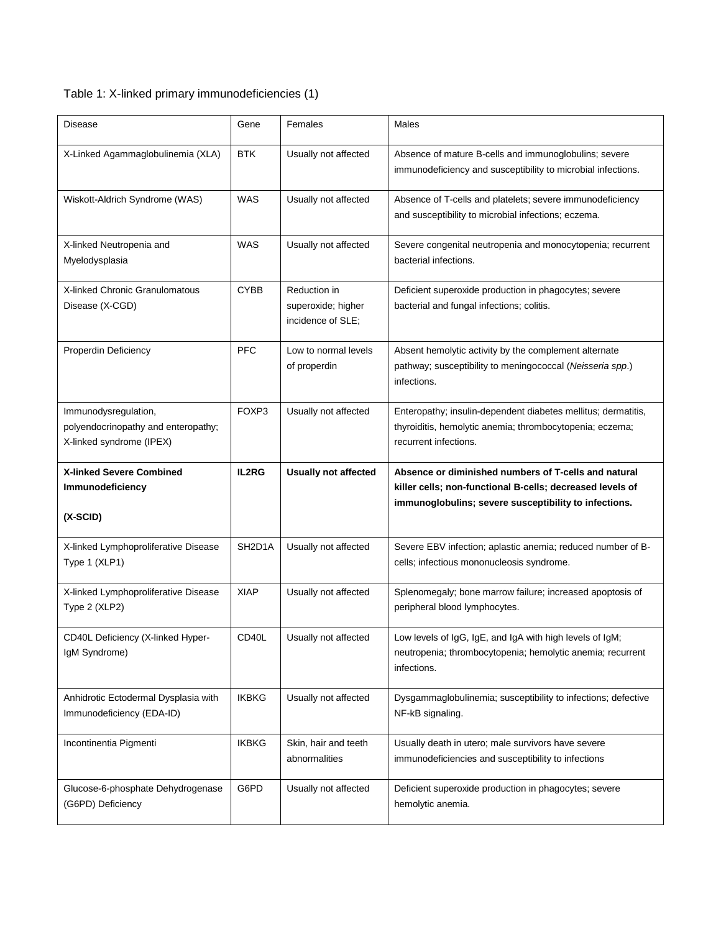## Table 1: X-linked primary immunodeficiencies (1)

| <b>Disease</b>                                                                          | Gene               | Females                                                 | Males                                                                                                                                                                      |
|-----------------------------------------------------------------------------------------|--------------------|---------------------------------------------------------|----------------------------------------------------------------------------------------------------------------------------------------------------------------------------|
| X-Linked Agammaglobulinemia (XLA)                                                       | <b>BTK</b>         | Usually not affected                                    | Absence of mature B-cells and immunoglobulins; severe<br>immunodeficiency and susceptibility to microbial infections.                                                      |
| Wiskott-Aldrich Syndrome (WAS)                                                          | <b>WAS</b>         | Usually not affected                                    | Absence of T-cells and platelets; severe immunodeficiency<br>and susceptibility to microbial infections; eczema.                                                           |
| X-linked Neutropenia and<br>Myelodysplasia                                              | <b>WAS</b>         | Usually not affected                                    | Severe congenital neutropenia and monocytopenia; recurrent<br>bacterial infections.                                                                                        |
| X-linked Chronic Granulomatous<br>Disease (X-CGD)                                       | <b>CYBB</b>        | Reduction in<br>superoxide; higher<br>incidence of SLE; | Deficient superoxide production in phagocytes; severe<br>bacterial and fungal infections; colitis.                                                                         |
| Properdin Deficiency                                                                    | <b>PFC</b>         | Low to normal levels<br>of properdin                    | Absent hemolytic activity by the complement alternate<br>pathway; susceptibility to meningococcal (Neisseria spp.)<br>infections.                                          |
| Immunodysregulation,<br>polyendocrinopathy and enteropathy;<br>X-linked syndrome (IPEX) | FOXP3              | Usually not affected                                    | Enteropathy; insulin-dependent diabetes mellitus; dermatitis,<br>thyroiditis, hemolytic anemia; thrombocytopenia; eczema;<br>recurrent infections.                         |
|                                                                                         |                    |                                                         |                                                                                                                                                                            |
| <b>X-linked Severe Combined</b><br>Immunodeficiency<br>$(X-SCID)$                       | IL2RG              | <b>Usually not affected</b>                             | Absence or diminished numbers of T-cells and natural<br>killer cells; non-functional B-cells; decreased levels of<br>immunoglobulins; severe susceptibility to infections. |
| X-linked Lymphoproliferative Disease<br>Type 1 (XLP1)                                   | SH2D1A             | Usually not affected                                    | Severe EBV infection; aplastic anemia; reduced number of B-<br>cells; infectious mononucleosis syndrome.                                                                   |
| X-linked Lymphoproliferative Disease<br>Type 2 (XLP2)                                   | <b>XIAP</b>        | Usually not affected                                    | Splenomegaly; bone marrow failure; increased apoptosis of<br>peripheral blood lymphocytes.                                                                                 |
| CD40L Deficiency (X-linked Hyper-<br>IgM Syndrome)                                      | CD <sub>40</sub> L | Usually not affected                                    | Low levels of IgG, IgE, and IgA with high levels of IgM;<br>neutropenia; thrombocytopenia; hemolytic anemia; recurrent<br>infections.                                      |
| Anhidrotic Ectodermal Dysplasia with<br>Immunodeficiency (EDA-ID)                       | <b>IKBKG</b>       | Usually not affected                                    | Dysgammaglobulinemia; susceptibility to infections; defective<br>NF-kB signaling.                                                                                          |
| Incontinentia Pigmenti                                                                  | <b>IKBKG</b>       | Skin, hair and teeth<br>abnormalities                   | Usually death in utero; male survivors have severe<br>immunodeficiencies and susceptibility to infections                                                                  |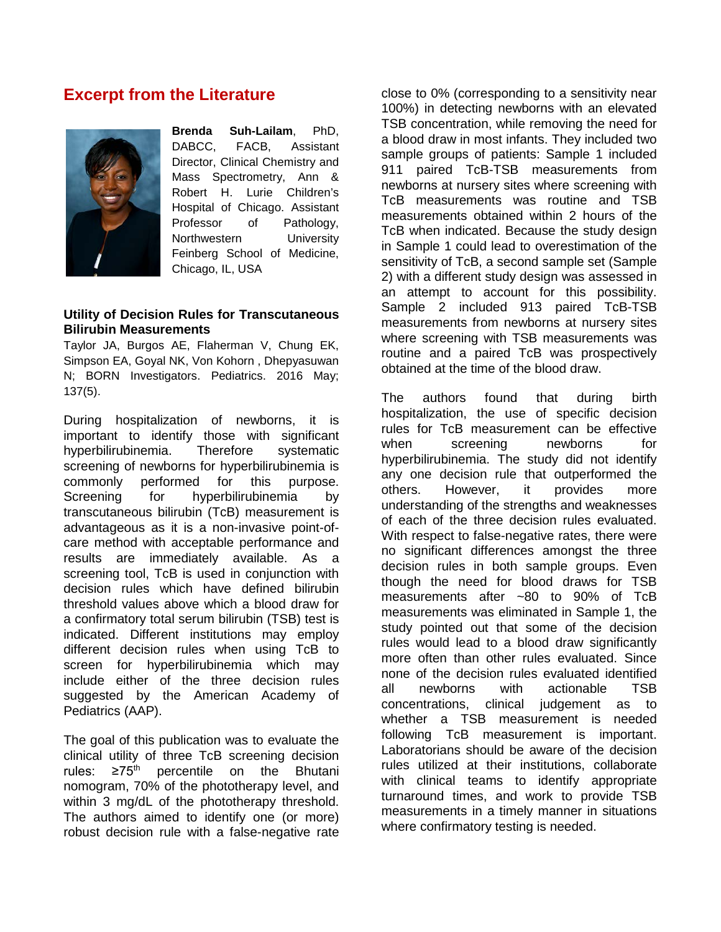## <span id="page-5-0"></span>**Excerpt from the Literature**



**Brenda Suh-Lailam**, PhD, DABCC, FACB, Assistant Director, Clinical Chemistry and Mass Spectrometry, Ann & Robert H. Lurie Children's Hospital of Chicago. Assistant Professor of Pathology, Northwestern University Feinberg School of Medicine, Chicago, IL, USA

#### **Utility of Decision Rules for Transcutaneous Bilirubin Measurements**

Taylor JA, Burgos AE, Flaherman V, Chung EK, Simpson EA, Goyal NK, Von Kohorn , Dhepyasuwan N; BORN Investigators. Pediatrics. 2016 May; 137(5).

During hospitalization of newborns, it is important to identify those with significant hyperbilirubinemia. Therefore systematic screening of newborns for hyperbilirubinemia is commonly performed for this purpose. Screening for hyperbilirubinemia by transcutaneous bilirubin (TcB) measurement is advantageous as it is a non-invasive point-ofcare method with acceptable performance and results are immediately available. As a screening tool, TcB is used in conjunction with decision rules which have defined bilirubin threshold values above which a blood draw for a confirmatory total serum bilirubin (TSB) test is indicated. Different institutions may employ different decision rules when using TcB to screen for hyperbilirubinemia which may include either of the three decision rules suggested by the American Academy of Pediatrics (AAP).

The goal of this publication was to evaluate the clinical utility of three TcB screening decision rules:  $\geq 75^{\text{th}}$  percentile on the Bhutani nomogram, 70% of the phototherapy level, and within 3 mg/dL of the phototherapy threshold. The authors aimed to identify one (or more) robust decision rule with a false-negative rate close to 0% (corresponding to a sensitivity near 100%) in detecting newborns with an elevated TSB concentration, while removing the need for a blood draw in most infants. They included two sample groups of patients: Sample 1 included 911 paired TcB-TSB measurements from newborns at nursery sites where screening with TcB measurements was routine and TSB measurements obtained within 2 hours of the TcB when indicated. Because the study design in Sample 1 could lead to overestimation of the sensitivity of TcB, a second sample set (Sample 2) with a different study design was assessed in an attempt to account for this possibility. Sample 2 included 913 paired TcB-TSB measurements from newborns at nursery sites where screening with TSB measurements was routine and a paired TcB was prospectively obtained at the time of the blood draw.

The authors found that during birth hospitalization, the use of specific decision rules for TcB measurement can be effective when screening newborns for hyperbilirubinemia. The study did not identify any one decision rule that outperformed the others. However, it provides more understanding of the strengths and weaknesses of each of the three decision rules evaluated. With respect to false-negative rates, there were no significant differences amongst the three decision rules in both sample groups. Even though the need for blood draws for TSB measurements after ~80 to 90% of TcB measurements was eliminated in Sample 1, the study pointed out that some of the decision rules would lead to a blood draw significantly more often than other rules evaluated. Since none of the decision rules evaluated identified all newborns with actionable TSB concentrations, clinical judgement as to whether a TSB measurement is needed following TcB measurement is important. Laboratorians should be aware of the decision rules utilized at their institutions, collaborate with clinical teams to identify appropriate turnaround times, and work to provide TSB measurements in a timely manner in situations where confirmatory testing is needed.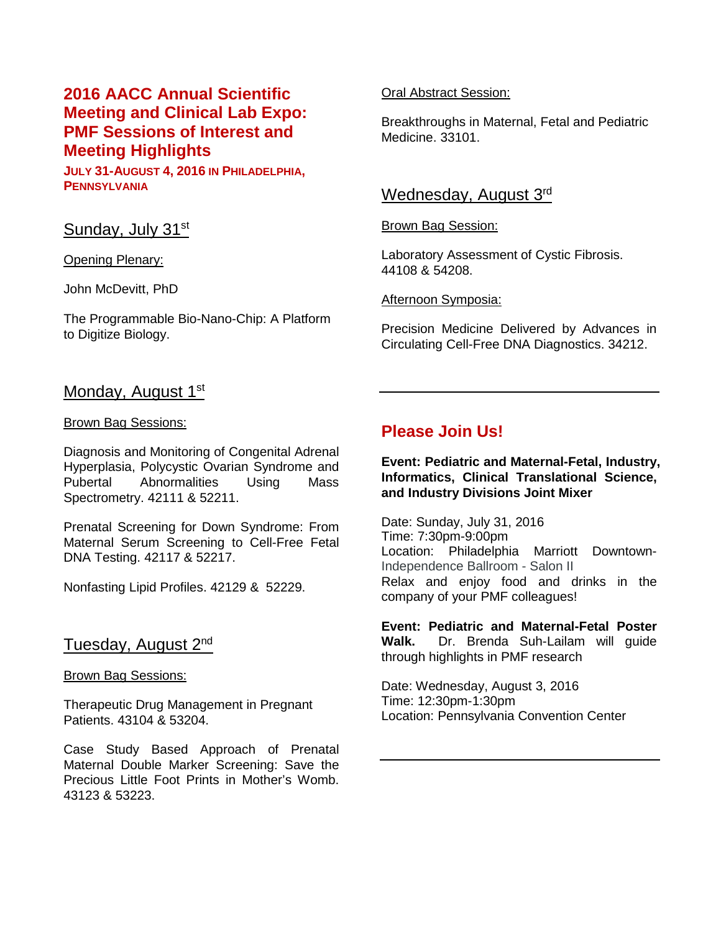# <span id="page-6-0"></span>**2016 AACC Annual Scientific Meeting and Clinical Lab Expo: PMF Sessions of Interest and Meeting Highlights**

**JULY 31-AUGUST 4, 2016 IN PHILADELPHIA, PENNSYLVANIA**

### Sunday, July 31st

Opening Plenary:

John McDevitt, PhD

The Programmable Bio-Nano-Chip: A Platform to Digitize Biology.

### Oral Abstract Session:

Breakthroughs in Maternal, Fetal and Pediatric Medicine. 33101.

### Wednesday, August 3rd

#### Brown Bag Session:

Laboratory Assessment of Cystic Fibrosis. 44108 & 54208.

### Afternoon Symposia:

Precision Medicine Delivered by Advances in Circulating Cell-Free DNA Diagnostics. 34212.

### Monday, August 1<sup>st</sup>

#### Brown Bag Sessions:

Diagnosis and Monitoring of Congenital Adrenal Hyperplasia, Polycystic Ovarian Syndrome and Pubertal Abnormalities Using Mass Spectrometry. 42111 & 52211.

Prenatal Screening for Down Syndrome: From Maternal Serum Screening to Cell-Free Fetal DNA Testing. 42117 & 52217.

Nonfasting Lipid Profiles. 42129 & 52229.

### Tuesday, August 2nd

Brown Bag Sessions:

Therapeutic Drug Management in Pregnant Patients. 43104 & 53204.

Case Study Based Approach of Prenatal Maternal Double Marker Screening: Save the Precious Little Foot Prints in Mother's Womb. 43123 & 53223.

# **Please Join Us!**

**Event: Pediatric and Maternal-Fetal, Industry, Informatics, Clinical Translational Science, and Industry Divisions Joint Mixer**

Date: Sunday, July 31, 2016 Time: 7:30pm-9:00pm Location: Philadelphia Marriott Downtown-Independence Ballroom - Salon II Relax and enjoy food and drinks in the company of your PMF colleagues!

**Event: Pediatric and Maternal-Fetal Poster Walk.** Dr. Brenda Suh-Lailam will guide through highlights in PMF research

Date: Wednesday, August 3, 2016 Time: 12:30pm-1:30pm Location: Pennsylvania Convention Center